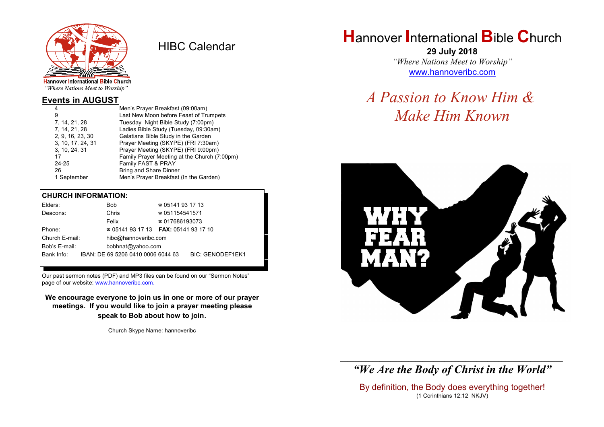

HIBC Calendar

"Where Nations Meet to Worship"

### **Events in AUGUST**

| Men's Prayer Breakfast (09:00am)             |
|----------------------------------------------|
| Last New Moon before Feast of Trumpets       |
| Tuesday Night Bible Study (7:00pm)           |
| Ladies Bible Study (Tuesday, 09:30am)        |
| Galatians Bible Study in the Garden          |
| Prayer Meeting (SKYPE) (FRI 7:30am)          |
| Prayer Meeting (SKYPE) (FRI 9:00pm)          |
| Family Prayer Meeting at the Church (7:00pm) |
| Family FAST & PRAY                           |
| <b>Bring and Share Dinner</b>                |
| Men's Prayer Breakfast (In the Garden)       |
|                                              |

#### **CHURCH INFORMATION:**

|                                                  | Elders:                                |  | Bob                                      | $\approx 05141931713$   |  |  |
|--------------------------------------------------|----------------------------------------|--|------------------------------------------|-------------------------|--|--|
|                                                  | Deacons:                               |  | Chris                                    | $\approx 051154541571$  |  |  |
|                                                  |                                        |  | Felix                                    | $\approx 017686193073$  |  |  |
|                                                  | Phone:                                 |  | $\approx 05141931713$ FAX: 0514193 17 10 |                         |  |  |
|                                                  | Church E-mail:<br>hibc@hannoveribc.com |  |                                          |                         |  |  |
|                                                  | Bob's E-mail:<br>bobhnat@yahoo.com     |  |                                          |                         |  |  |
| Bank Info:<br>IBAN: DE 69 5206 0410 0006 6044 63 |                                        |  |                                          | <b>BIC: GENODEF1EK1</b> |  |  |
|                                                  |                                        |  |                                          |                         |  |  |

Our past sermon notes (PDF) and MP3 files can be found on our "Sermon Notes" page of our website: [www.hannoveribc.com.](http://www.hannoveribc.com.)

**We encourage everyone to join us in one or more of our prayer meetings. If you would like to join a prayer meeting please speak to Bob about how to join**.

Church Skype Name: hannoveribc

# **H**annover **I**nternational **B**ible **C**hurch

**29 July 2018** *"Where Nations Meet to Worship"* [www.hannoveribc.com](http://www.hannoveribc.com)

# *A Passion to Know Him & Make Him Known*



\_\_\_\_\_\_\_\_\_\_\_\_\_\_\_\_\_\_\_\_\_\_\_\_\_\_\_\_\_\_\_\_\_\_\_\_\_\_\_\_\_\_\_\_\_\_\_\_\_\_\_\_\_\_\_\_\_\_\_\_\_\_ *"We Are the Body of Christ in the World"*

By definition, the Body does everything together! (1 Corinthians 12:12 NKJV)